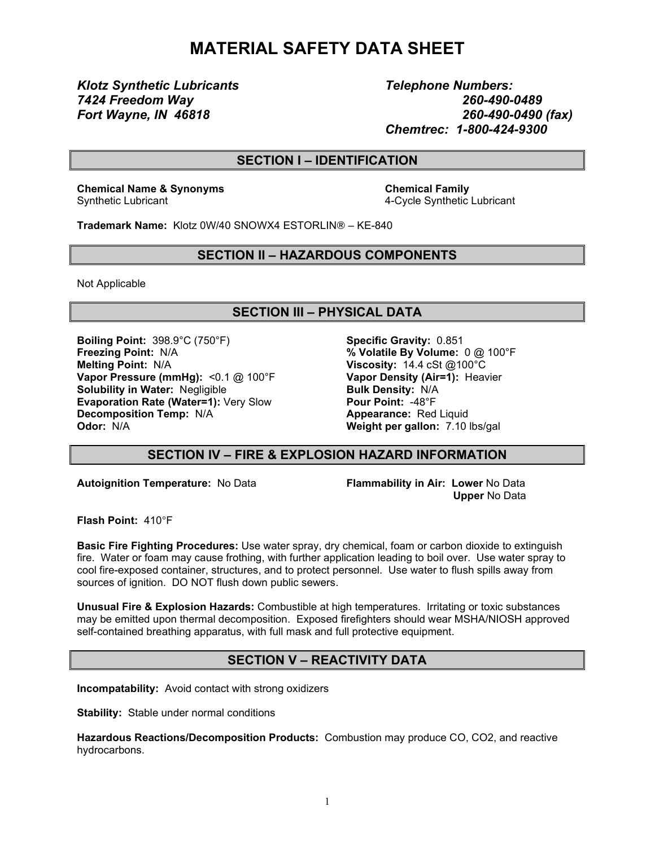# **MATERIAL SAFETY DATA SHEET**

*Klotz Synthetic Lubricants Telephone Numbers:*

*7424 Freedom Way 260-490-0489 Fort Wayne, IN 46818 260-490-0490 (fax) Chemtrec: 1-800-424-9300*

## **SECTION I – IDENTIFICATION**

**Chemical Name & Synonyms Chemical Family** Synthetic Lubricant 4-Cycle Synthetic Lubricant

**Trademark Name:** Klotz 0W/40 SNOWX4 ESTORLIN® – KE-840

#### **SECTION II – HAZARDOUS COMPONENTS**

Not Applicable

# **SECTION III – PHYSICAL DATA**

**Boiling Point:** 398.9°C (750°F) **Specific Gravity:** 0.851 **Freezing Point:** N/A **% Volatile By Volume:** 0 @ 100°F **Melting Point:** N/A **Viscosity:** 14.4 cSt @100°C **Vapor Pressure (mmHg):** <0.1 @ 100°F **Vapor Density (Air=1):** Heavier **Solubility** in Water: Negligible **Bulk Density:** N/A **Evaporation Rate (Water=1):** Very Slow **Pour Point:** -48°F **Decomposition Temp:** N/A **And Appearance:** Red Liquid **Odor:** N/A **Weight per gallon:** 7.10 lbs/gal

## **SECTION IV – FIRE & EXPLOSION HAZARD INFORMATION**

**Autoignition Temperature:** No Data **Flammability in Air: Lower** No Data

**Upper** No Data

**Flash Point:** 410°F

**Basic Fire Fighting Procedures:** Use water spray, dry chemical, foam or carbon dioxide to extinguish fire. Water or foam may cause frothing, with further application leading to boil over. Use water spray to cool fire-exposed container, structures, and to protect personnel. Use water to flush spills away from sources of ignition. DO NOT flush down public sewers.

**Unusual Fire & Explosion Hazards:** Combustible at high temperatures. Irritating or toxic substances may be emitted upon thermal decomposition. Exposed firefighters should wear MSHA/NIOSH approved self-contained breathing apparatus, with full mask and full protective equipment.

# **SECTION V – REACTIVITY DATA**

**Incompatability:** Avoid contact with strong oxidizers

**Stability:** Stable under normal conditions

**Hazardous Reactions/Decomposition Products:** Combustion may produce CO, CO2, and reactive hydrocarbons.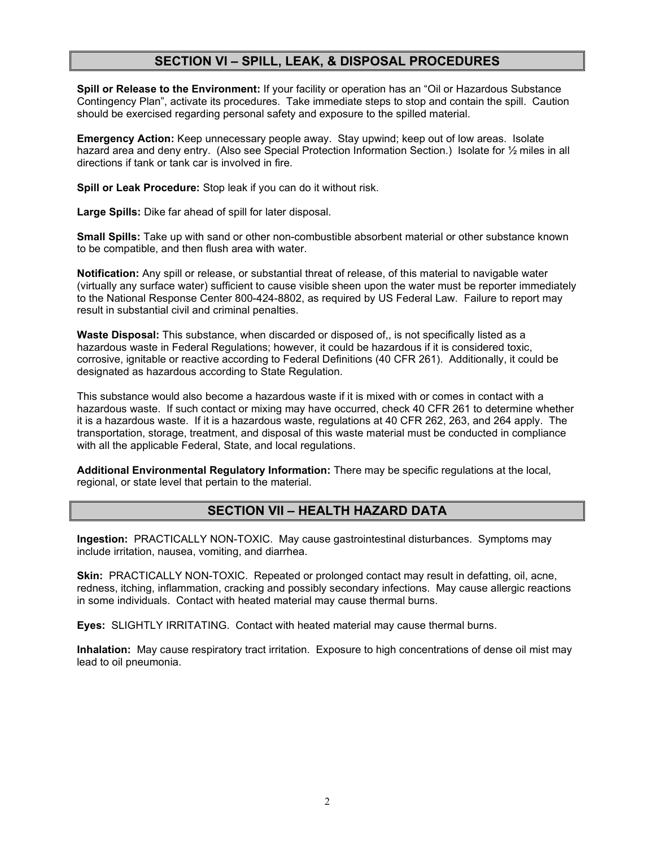# **SECTION VI – SPILL, LEAK, & DISPOSAL PROCEDURES**

**Spill or Release to the Environment:** If your facility or operation has an "Oil or Hazardous Substance Contingency Plan", activate its procedures. Take immediate steps to stop and contain the spill. Caution should be exercised regarding personal safety and exposure to the spilled material.

**Emergency Action:** Keep unnecessary people away. Stay upwind; keep out of low areas. Isolate hazard area and deny entry. (Also see Special Protection Information Section.) Isolate for 1/2 miles in all directions if tank or tank car is involved in fire.

**Spill or Leak Procedure:** Stop leak if you can do it without risk.

**Large Spills:** Dike far ahead of spill for later disposal.

**Small Spills:** Take up with sand or other non-combustible absorbent material or other substance known to be compatible, and then flush area with water.

**Notification:** Any spill or release, or substantial threat of release, of this material to navigable water (virtually any surface water) sufficient to cause visible sheen upon the water must be reporter immediately to the National Response Center 800-424-8802, as required by US Federal Law. Failure to report may result in substantial civil and criminal penalties.

**Waste Disposal:** This substance, when discarded or disposed of,, is not specifically listed as a hazardous waste in Federal Regulations; however, it could be hazardous if it is considered toxic, corrosive, ignitable or reactive according to Federal Definitions (40 CFR 261). Additionally, it could be designated as hazardous according to State Regulation.

This substance would also become a hazardous waste if it is mixed with or comes in contact with a hazardous waste. If such contact or mixing may have occurred, check 40 CFR 261 to determine whether it is a hazardous waste. If it is a hazardous waste, regulations at 40 CFR 262, 263, and 264 apply. The transportation, storage, treatment, and disposal of this waste material must be conducted in compliance with all the applicable Federal, State, and local regulations.

**Additional Environmental Regulatory Information:** There may be specific regulations at the local, regional, or state level that pertain to the material.

## **SECTION VII – HEALTH HAZARD DATA**

**Ingestion:** PRACTICALLY NON-TOXIC. May cause gastrointestinal disturbances. Symptoms may include irritation, nausea, vomiting, and diarrhea.

**Skin:** PRACTICALLY NON-TOXIC. Repeated or prolonged contact may result in defatting, oil, acne, redness, itching, inflammation, cracking and possibly secondary infections. May cause allergic reactions in some individuals. Contact with heated material may cause thermal burns.

**Eyes:** SLIGHTLY IRRITATING. Contact with heated material may cause thermal burns.

**Inhalation:** May cause respiratory tract irritation. Exposure to high concentrations of dense oil mist may lead to oil pneumonia.